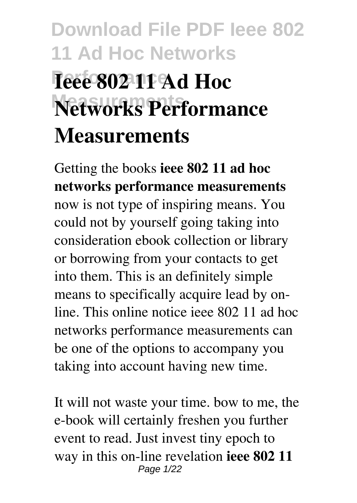# **Download File PDF Ieee 802 11 Ad Hoc Networks Ieee 802 11 Ad Hoc Networks Performance Measurements**

Getting the books **ieee 802 11 ad hoc networks performance measurements** now is not type of inspiring means. You could not by yourself going taking into consideration ebook collection or library or borrowing from your contacts to get into them. This is an definitely simple means to specifically acquire lead by online. This online notice ieee 802 11 ad hoc networks performance measurements can be one of the options to accompany you taking into account having new time.

It will not waste your time. bow to me, the e-book will certainly freshen you further event to read. Just invest tiny epoch to way in this on-line revelation **ieee 802 11** Page 1/22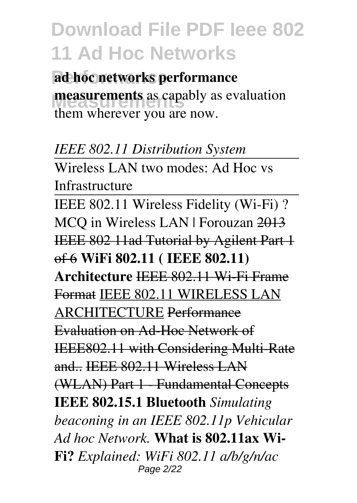**Performance ad hoc networks performance Measurements measurements** as capably as evaluation them wherever you are now.

*IEEE 802.11 Distribution System*

Wireless LAN two modes: Ad Hoc vs Infrastructure

IEEE 802.11 Wireless Fidelity (Wi-Fi) ? MCQ in Wireless LAN | Forouzan 2013 IEEE 802 11ad Tutorial by Agilent Part 1 of 6 **WiFi 802.11 ( IEEE 802.11) Architecture** IEEE 802.11 Wi-Fi Frame Format IEEE 802.11 WIRELESS LAN ARCHITECTURE Performance Evaluation on Ad-Hoc Network of IEEE802.11 with Considering Multi-Rate and.. IEEE 802.11 Wireless LAN (WLAN) Part 1 - Fundamental Concepts **IEEE 802.15.1 Bluetooth** *Simulating beaconing in an IEEE 802.11p Vehicular Ad hoc Network.* **What is 802.11ax Wi-Fi?** *Explained: WiFi 802.11 a/b/g/n/ac* Page 2/22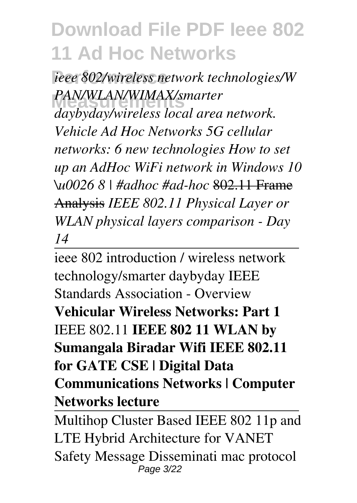**Performance** *ieee 802/wireless network technologies/W* **Measurements** *daybyday/wireless local area network. PAN/WLAN/WIMAX/smarter Vehicle Ad Hoc Networks 5G cellular networks: 6 new technologies How to set up an AdHoc WiFi network in Windows 10 \u0026 8 | #adhoc #ad-hoc* 802.11 Frame Analysis *IEEE 802.11 Physical Layer or WLAN physical layers comparison - Day 14*

ieee 802 introduction / wireless network technology/smarter daybyday IEEE Standards Association - Overview **Vehicular Wireless Networks: Part 1** IEEE 802.11 **IEEE 802 11 WLAN by Sumangala Biradar Wifi IEEE 802.11 for GATE CSE | Digital Data Communications Networks | Computer Networks lecture**

Multihop Cluster Based IEEE 802 11p and LTE Hybrid Architecture for VANET Safety Message Disseminati mac protocol Page 3/22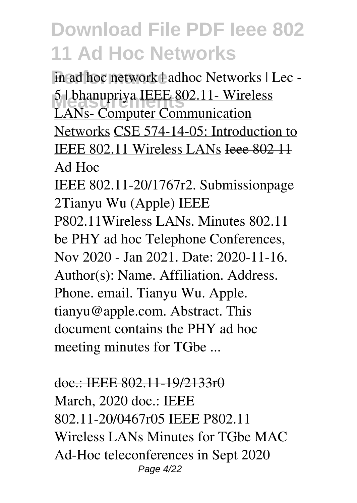in ad hoc network  $\pm$ adhoc Networks | Lec -**Measurements** 5 | bhanupriya IEEE 802.11- Wireless LANs- Computer Communication Networks CSE 574-14-05: Introduction to IEEE 802.11 Wireless LANs Ieee 802 11 Ad Hoc

IEEE 802.11-20/1767r2. Submissionpage 2Tianyu Wu (Apple) IEEE P802.11Wireless LANs. Minutes 802.11 be PHY ad hoc Telephone Conferences, Nov 2020 - Jan 2021. Date: 2020-11-16. Author(s): Name. Affiliation. Address. Phone. email. Tianyu Wu. Apple. tianyu@apple.com. Abstract. This document contains the PHY ad hoc meeting minutes for TGbe ...

#### doc.: IEEE 802.11-19/2133r0

March, 2020 doc.: IEEE 802.11-20/0467r05 IEEE P802.11 Wireless LANs Minutes for TGbe MAC Ad-Hoc teleconferences in Sept 2020 Page 4/22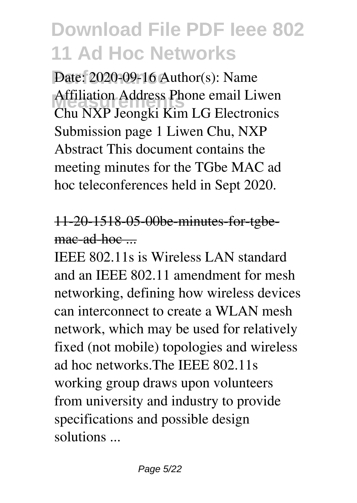Date: 2020-09-16 Author(s): Name **Measurements** Chu NXP Jeongki Kim LG Electronics Affiliation Address Phone email Liwen Submission page 1 Liwen Chu, NXP Abstract This document contains the meeting minutes for the TGbe MAC ad hoc teleconferences held in Sept 2020.

## 11-20-1518-05-00be-minutes-for-tgbemac-ad-hoc ...

IEEE 802.11s is Wireless LAN standard and an IEEE 802.11 amendment for mesh networking, defining how wireless devices can interconnect to create a WLAN mesh network, which may be used for relatively fixed (not mobile) topologies and wireless ad hoc networks.The IEEE 802.11s working group draws upon volunteers from university and industry to provide specifications and possible design solutions ...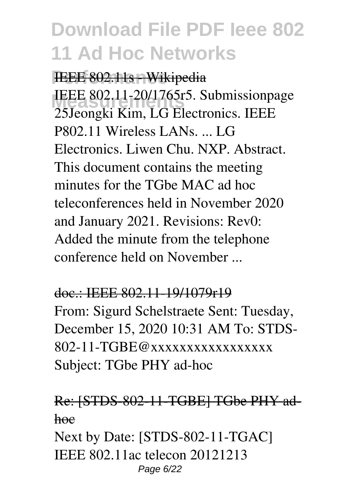**IEEE 802.11s - Wikipedia** IEEE 802.11-20/1765r5. Submissionpage 25Jeongki Kim, LG Electronics. IEEE P802.11 Wireless LANs. ... LG Electronics. Liwen Chu. NXP. Abstract. This document contains the meeting minutes for the TGbe MAC ad hoc teleconferences held in November 2020 and January 2021. Revisions: Rev0: Added the minute from the telephone conference held on November ...

### doc.: IEEE 802.11-19/1079r19

From: Sigurd Schelstraete Sent: Tuesday, December 15, 2020 10:31 AM To: STDS-802-11-TGBE@xxxxxxxxxxxxxxxxx Subject: TGbe PHY ad-hoc

### Re: [STDS-802-11-TGBE] TGbe PHY adhoe

Next by Date: [STDS-802-11-TGAC] IEEE 802.11ac telecon 20121213 Page 6/22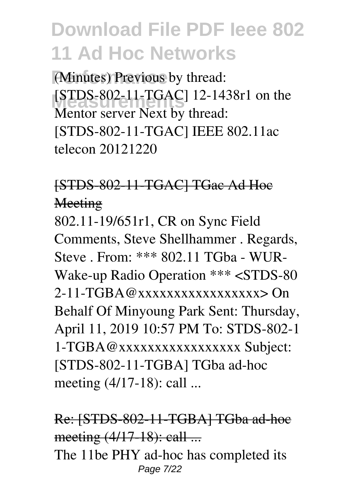(Minutes) Previous by thread: **Measurements** [STDS-802-11-TGAC] 12-1438r1 on the Mentor server Next by thread: [STDS-802-11-TGAC] IEEE 802.11ac telecon 20121220

## [STDS-802-11-TGAC] TGac Ad Hoc Meeting

802.11-19/651r1, CR on Sync Field Comments, Steve Shellhammer . Regards, Steve . From: \*\*\* 802.11 TGba - WUR-Wake-up Radio Operation \*\*\* <STDS-80  $2-11-TGBA@xxxxxxxxxxxxxxxxx2$ Behalf Of Minyoung Park Sent: Thursday, April 11, 2019 10:57 PM To: STDS-802-1 1-TGBA@xxxxxxxxxxxxxxxxx Subject: [STDS-802-11-TGBA] TGba ad-hoc meeting (4/17-18): call ...

Re: [STDS-802-11-TGBA] TGba ad-hoc meeting (4/17-18): call ... The 11be PHY ad-hoc has completed its Page 7/22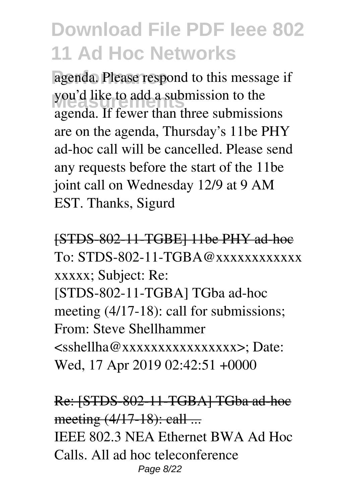agenda. Please respond to this message if you'd like to add a submission to the agenda. If fewer than three submissions are on the agenda, Thursday's 11be PHY ad-hoc call will be cancelled. Please send any requests before the start of the 11be joint call on Wednesday 12/9 at 9 AM EST. Thanks, Sigurd

[STDS-802-11-TGBE] 11be PHY ad-hoc  $To: STDS-802-11-TGBA@xxxxxxxxxxx$ xxxxx; Subject: Re:

[STDS-802-11-TGBA] TGba ad-hoc meeting (4/17-18): call for submissions; From: Steve Shellhammer <sshellha@xxxxxxxxxxxxxxxx>; Date: Wed, 17 Apr 2019 02:42:51 +0000

Re: [STDS-802-11-TGBA] TGba ad-hoc meeting (4/17-18): call ... IEEE 802.3 NEA Ethernet BWA Ad Hoc Calls. All ad hoc teleconference Page 8/22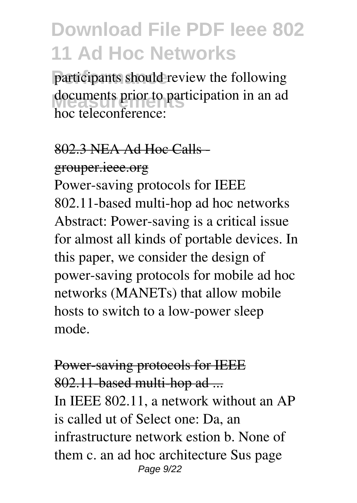participants should review the following documents prior to participation in an ad hoc teleconference:

### 802.3 NEA Ad Hoc Calls grouper.ieee.org

Power-saving protocols for IEEE 802.11-based multi-hop ad hoc networks Abstract: Power-saving is a critical issue for almost all kinds of portable devices. In this paper, we consider the design of power-saving protocols for mobile ad hoc networks (MANETs) that allow mobile hosts to switch to a low-power sleep mode.

## Power-saving protocols for IEEE 802.11-based multi-hop ad ... In IEEE 802.11, a network without an AP is called ut of Select one: Da, an infrastructure network estion b. None of them c. an ad hoc architecture Sus page Page 9/22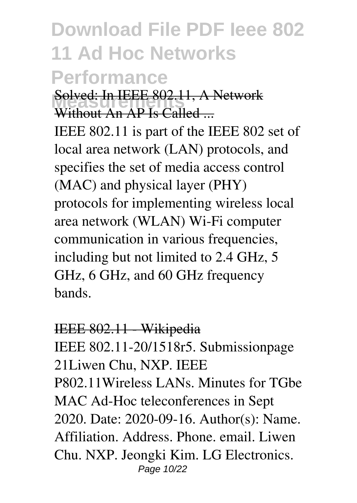# **Download File PDF Ieee 802 11 Ad Hoc Networks Performance**

**Measurements** Solved: In IEEE 802.11, A Network Without  $\overline{AP}$  Is Called ...

IEEE 802.11 is part of the IEEE 802 set of local area network (LAN) protocols, and specifies the set of media access control (MAC) and physical layer (PHY) protocols for implementing wireless local area network (WLAN) Wi-Fi computer communication in various frequencies, including but not limited to 2.4 GHz, 5 GHz, 6 GHz, and 60 GHz frequency bands.

### IEEE 802.11 - Wikipedia

IEEE 802.11-20/1518r5. Submissionpage 21Liwen Chu, NXP. IEEE P802.11Wireless LANs. Minutes for TGbe MAC Ad-Hoc teleconferences in Sept 2020. Date: 2020-09-16. Author(s): Name. Affiliation. Address. Phone. email. Liwen Chu. NXP. Jeongki Kim. LG Electronics. Page 10/22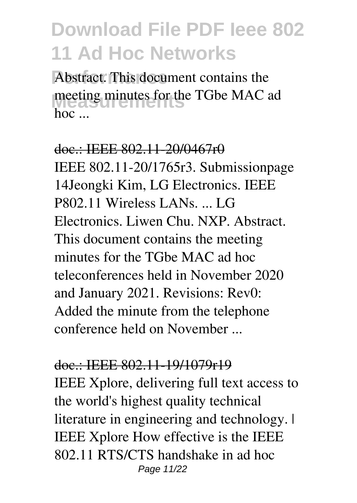Abstract. This document contains the **Measurements** meeting minutes for the TGbe MAC ad hoc ...

doc.: IEEE 802.11-20/0467r0 IEEE 802.11-20/1765r3. Submissionpage 14Jeongki Kim, LG Electronics. IEEE P802.11 Wireless LANs. ... LG Electronics. Liwen Chu. NXP. Abstract. This document contains the meeting minutes for the TGbe MAC ad hoc teleconferences held in November 2020 and January 2021. Revisions: Rev0: Added the minute from the telephone conference held on November ...

#### doc.: IEEE 802.11-19/1079r19

IEEE Xplore, delivering full text access to the world's highest quality technical literature in engineering and technology. IEEE Xplore How effective is the IEEE 802.11 RTS/CTS handshake in ad hoc Page 11/22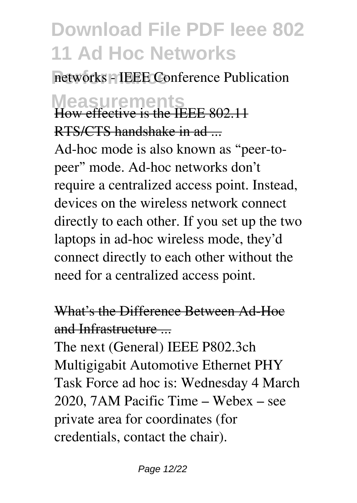networks - IEEE Conference Publication

# **Measurements** How effective is the IEEE 802.11 RTS/CTS handshake in ad-

Ad-hoc mode is also known as "peer-topeer" mode. Ad-hoc networks don't require a centralized access point. Instead, devices on the wireless network connect directly to each other. If you set up the two laptops in ad-hoc wireless mode, they'd connect directly to each other without the need for a centralized access point.

What's the Difference Between Ad-Hoc and Infrastructure ...

The next (General) IEEE P802.3ch Multigigabit Automotive Ethernet PHY Task Force ad hoc is: Wednesday 4 March 2020, 7AM Pacific Time – Webex – see private area for coordinates (for credentials, contact the chair).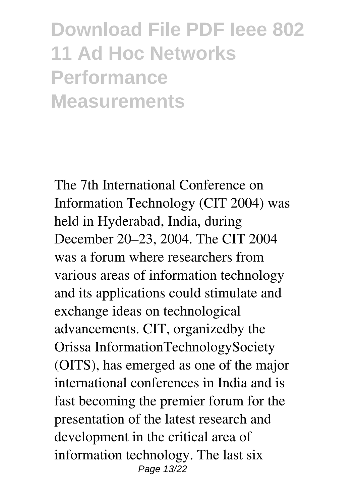**Download File PDF Ieee 802 11 Ad Hoc Networks Performance Measurements**

The 7th International Conference on Information Technology (CIT 2004) was held in Hyderabad, India, during December 20–23, 2004. The CIT 2004 was a forum where researchers from various areas of information technology and its applications could stimulate and exchange ideas on technological advancements. CIT, organizedby the Orissa InformationTechnologySociety (OITS), has emerged as one of the major international conferences in India and is fast becoming the premier forum for the presentation of the latest research and development in the critical area of information technology. The last six Page 13/22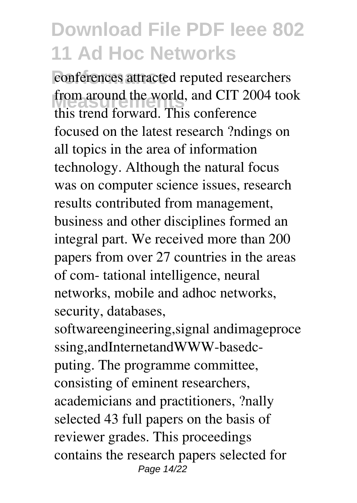conferences attracted reputed researchers from around the world, and CIT 2004 took this trend forward. This conference focused on the latest research ?ndings on all topics in the area of information technology. Although the natural focus was on computer science issues, research results contributed from management, business and other disciplines formed an integral part. We received more than 200 papers from over 27 countries in the areas of com- tational intelligence, neural networks, mobile and adhoc networks, security, databases,

softwareengineering,signal andimageproce ssing,andInternetandWWW-basedcputing. The programme committee, consisting of eminent researchers, academicians and practitioners, ?nally selected 43 full papers on the basis of reviewer grades. This proceedings contains the research papers selected for Page 14/22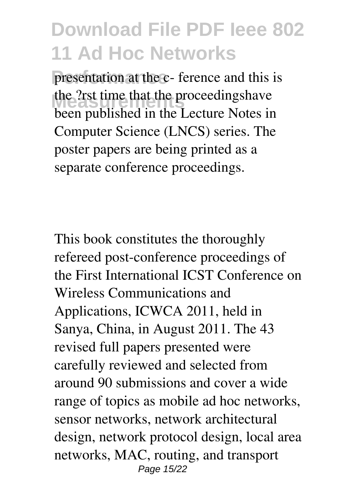presentation at the c- ference and this is the ?rst time that the proceedingshave been published in the Lecture Notes in Computer Science (LNCS) series. The poster papers are being printed as a separate conference proceedings.

This book constitutes the thoroughly refereed post-conference proceedings of the First International ICST Conference on Wireless Communications and Applications, ICWCA 2011, held in Sanya, China, in August 2011. The 43 revised full papers presented were carefully reviewed and selected from around 90 submissions and cover a wide range of topics as mobile ad hoc networks, sensor networks, network architectural design, network protocol design, local area networks, MAC, routing, and transport Page 15/22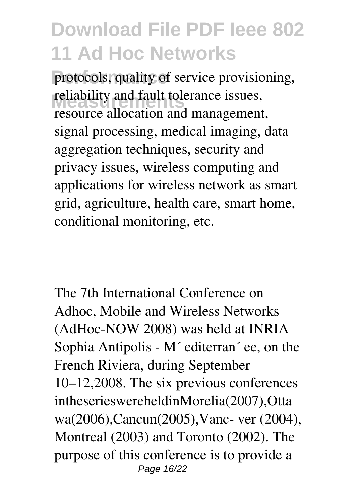protocols, quality of service provisioning, reliability and fault tolerance issues, resource allocation and management, signal processing, medical imaging, data aggregation techniques, security and privacy issues, wireless computing and applications for wireless network as smart grid, agriculture, health care, smart home, conditional monitoring, etc.

The 7th International Conference on Adhoc, Mobile and Wireless Networks (AdHoc-NOW 2008) was held at INRIA Sophia Antipolis - M´ editerran´ ee, on the French Riviera, during September 10–12,2008. The six previous conferences intheserieswereheldinMorelia(2007),Otta wa(2006),Cancun(2005),Vanc- ver (2004), Montreal (2003) and Toronto (2002). The purpose of this conference is to provide a Page 16/22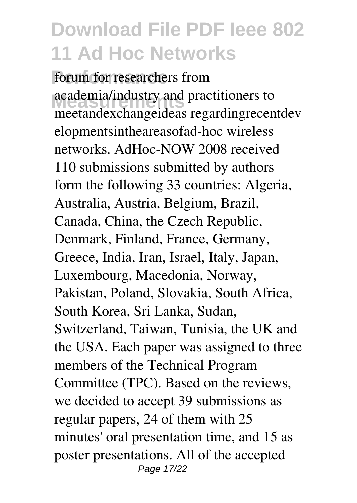forum for researchers from **Measurements** academia/industry and practitioners to meetandexchangeideas regardingrecentdev elopmentsintheareasofad-hoc wireless networks. AdHoc-NOW 2008 received 110 submissions submitted by authors form the following 33 countries: Algeria, Australia, Austria, Belgium, Brazil, Canada, China, the Czech Republic, Denmark, Finland, France, Germany, Greece, India, Iran, Israel, Italy, Japan, Luxembourg, Macedonia, Norway, Pakistan, Poland, Slovakia, South Africa, South Korea, Sri Lanka, Sudan, Switzerland, Taiwan, Tunisia, the UK and the USA. Each paper was assigned to three members of the Technical Program Committee (TPC). Based on the reviews, we decided to accept 39 submissions as regular papers, 24 of them with 25 minutes' oral presentation time, and 15 as poster presentations. All of the accepted Page 17/22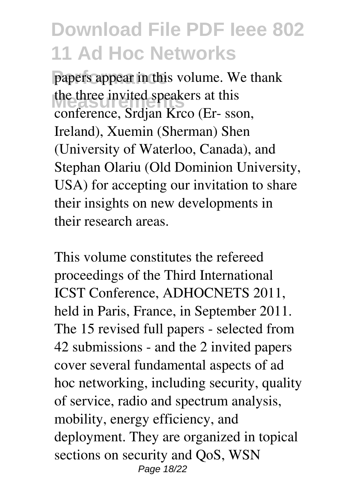papers appear in this volume. We thank the three invited speakers at this conference, Srdjan Krco (Er- sson, Ireland), Xuemin (Sherman) Shen (University of Waterloo, Canada), and Stephan Olariu (Old Dominion University, USA) for accepting our invitation to share their insights on new developments in their research areas.

This volume constitutes the refereed proceedings of the Third International ICST Conference, ADHOCNETS 2011, held in Paris, France, in September 2011. The 15 revised full papers - selected from 42 submissions - and the 2 invited papers cover several fundamental aspects of ad hoc networking, including security, quality of service, radio and spectrum analysis, mobility, energy efficiency, and deployment. They are organized in topical sections on security and QoS, WSN Page 18/22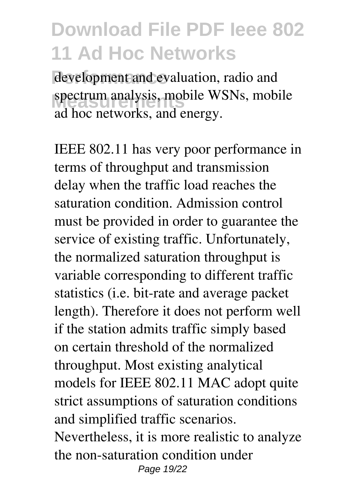development and evaluation, radio and spectrum analysis, mobile WSNs, mobile ad hoc networks, and energy.

IEEE 802.11 has very poor performance in terms of throughput and transmission delay when the traffic load reaches the saturation condition. Admission control must be provided in order to guarantee the service of existing traffic. Unfortunately, the normalized saturation throughput is variable corresponding to different traffic statistics (i.e. bit-rate and average packet length). Therefore it does not perform well if the station admits traffic simply based on certain threshold of the normalized throughput. Most existing analytical models for IEEE 802.11 MAC adopt quite strict assumptions of saturation conditions and simplified traffic scenarios. Nevertheless, it is more realistic to analyze the non-saturation condition under Page 19/22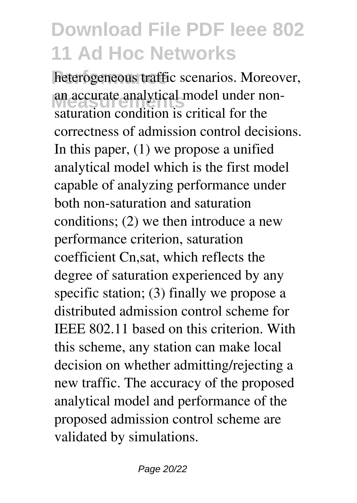heterogeneous traffic scenarios. Moreover, an accurate analytical model under non-<br>
actual for the solution is exitied for the saturation condition is critical for the correctness of admission control decisions. In this paper, (1) we propose a unified analytical model which is the first model capable of analyzing performance under both non-saturation and saturation conditions; (2) we then introduce a new performance criterion, saturation coefficient Cn,sat, which reflects the degree of saturation experienced by any specific station; (3) finally we propose a distributed admission control scheme for IEEE 802.11 based on this criterion. With this scheme, any station can make local decision on whether admitting/rejecting a new traffic. The accuracy of the proposed analytical model and performance of the proposed admission control scheme are validated by simulations.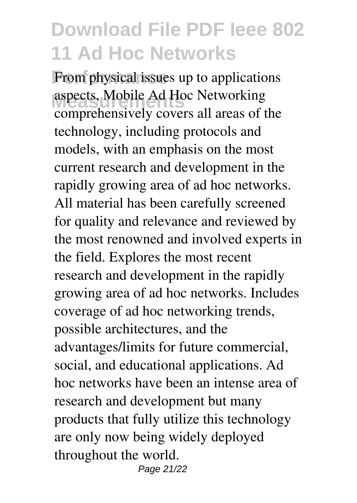From physical issues up to applications **Measurements** aspects, Mobile Ad Hoc Networking comprehensively covers all areas of the technology, including protocols and models, with an emphasis on the most current research and development in the rapidly growing area of ad hoc networks. All material has been carefully screened for quality and relevance and reviewed by the most renowned and involved experts in the field. Explores the most recent research and development in the rapidly growing area of ad hoc networks. Includes coverage of ad hoc networking trends, possible architectures, and the advantages/limits for future commercial, social, and educational applications. Ad hoc networks have been an intense area of research and development but many products that fully utilize this technology are only now being widely deployed throughout the world. Page 21/22